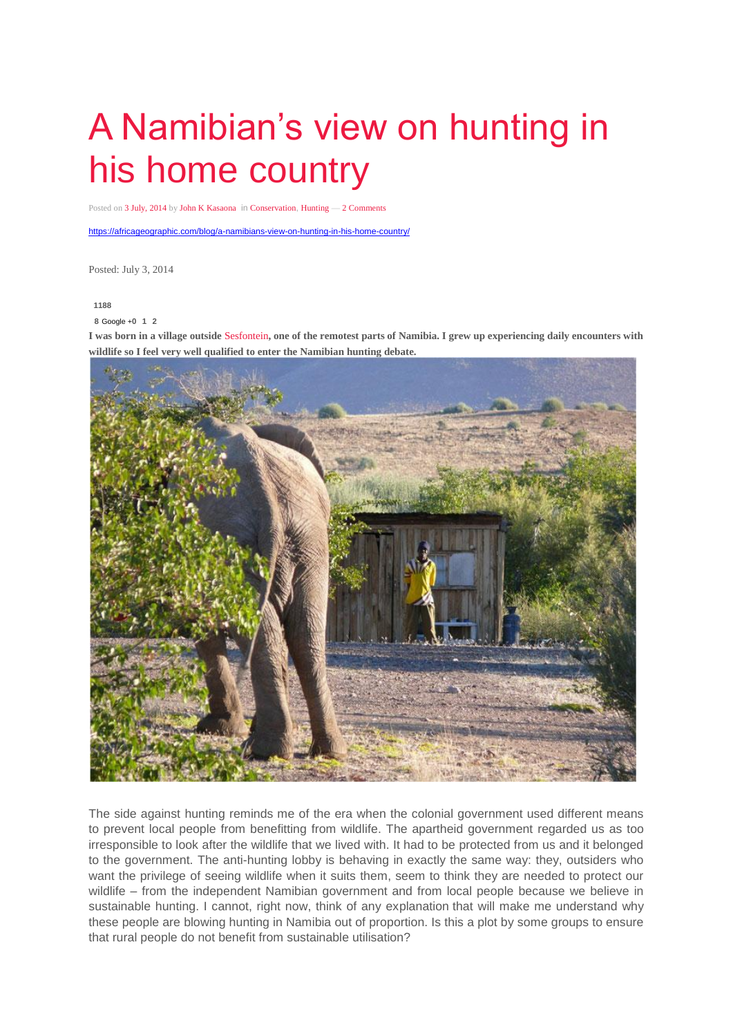## A Namibian's view on hunting in his home country

Posted on [3 July, 2014](https://africageographic.com/blog/a-namibians-view-on-hunting-in-his-home-country/) by [John K Kasaona](https://africageographic.com/blog/author/johnkkasaona/) in [Conservation](https://africageographic.com/blog/category/wildlife/conservation/), [Hunting](https://africageographic.com/blog/category/wildlife/hunting/) — [2 Comments](https://africageographic.com/blog/a-namibians-view-on-hunting-in-his-home-country/#disqus_thread)

<https://africageographic.com/blog/a-namibians-view-on-hunting-in-his-home-country/>

Posted: July 3, 2014

## **1188**

## **8** Google +**0 1 2**

**I was born in a village outside** [Sesfontein](https://www.google.co.za/maps/place/Sesfontein/@-19.1235275,13.6171461,16z/data=!3m1!4b1!4m2!3m1!1s0x1b8ffe96b3bdf2b9:0x875b82a2845c15fd)**, one of the remotest parts of Namibia. I grew up experiencing daily encounters with wildlife so I feel very well qualified to enter the Namibian hunting debate.**



The side against hunting reminds me of the era when the colonial government used different means to prevent local people from benefitting from wildlife. The apartheid government regarded us as too irresponsible to look after the wildlife that we lived with. It had to be protected from us and it belonged to the government. The anti-hunting lobby is behaving in exactly the same way: they, outsiders who want the privilege of seeing wildlife when it suits them, seem to think they are needed to protect our wildlife – from the independent Namibian government and from local people because we believe in sustainable hunting. I cannot, right now, think of any explanation that will make me understand why these people are blowing hunting in Namibia out of proportion. Is this a plot by some groups to ensure that rural people do not benefit from sustainable utilisation?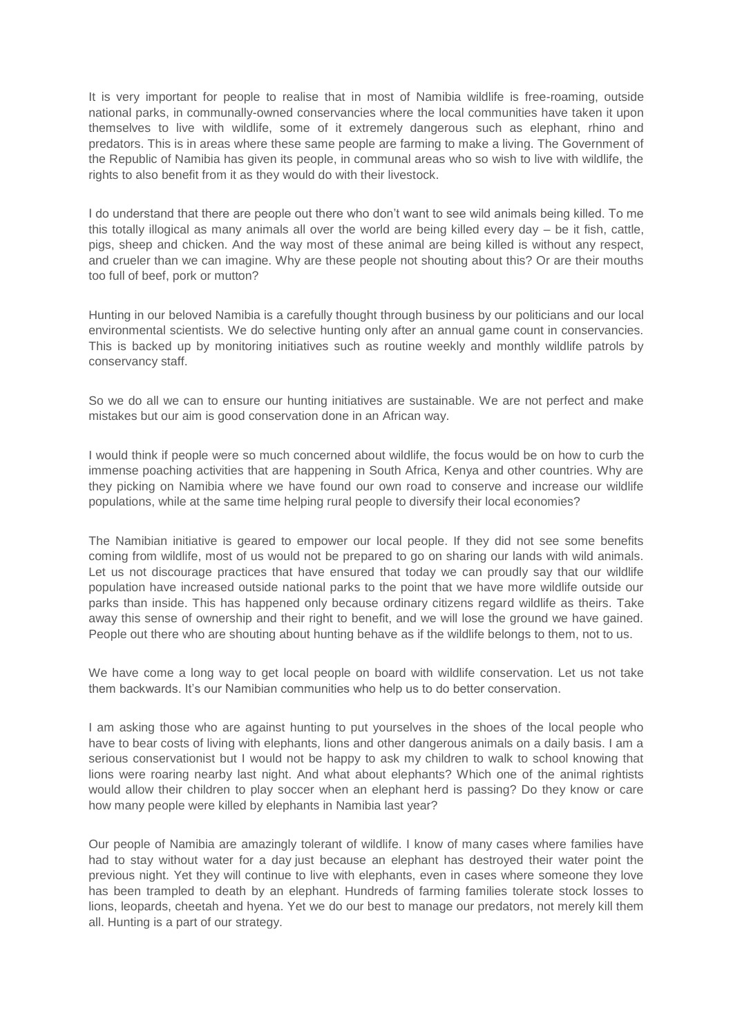It is very important for people to realise that in most of Namibia wildlife is free-roaming, outside national parks, in communally-owned conservancies where the local communities have taken it upon themselves to live with wildlife, some of it extremely dangerous such as elephant, rhino and predators. This is in areas where these same people are farming to make a living. The Government of the Republic of Namibia has given its people, in communal areas who so wish to live with wildlife, the rights to also benefit from it as they would do with their livestock.

I do understand that there are people out there who don't want to see wild animals being killed. To me this totally illogical as many animals all over the world are being killed every day – be it fish, cattle, pigs, sheep and chicken. And the way most of these animal are being killed is without any respect, and crueler than we can imagine. Why are these people not shouting about this? Or are their mouths too full of beef, pork or mutton?

Hunting in our beloved Namibia is a carefully thought through business by our politicians and our local environmental scientists. We do selective hunting only after an annual game count in conservancies. This is backed up by monitoring initiatives such as routine weekly and monthly wildlife patrols by conservancy staff.

So we do all we can to ensure our hunting initiatives are sustainable. We are not perfect and make mistakes but our aim is good conservation done in an African way.

I would think if people were so much concerned about wildlife, the focus would be on how to curb the immense poaching activities that are happening in South Africa, Kenya and other countries. Why are they picking on Namibia where we have found our own road to conserve and increase our wildlife populations, while at the same time helping rural people to diversify their local economies?

The Namibian initiative is geared to empower our local people. If they did not see some benefits coming from wildlife, most of us would not be prepared to go on sharing our lands with wild animals. Let us not discourage practices that have ensured that today we can proudly say that our wildlife population have increased outside national parks to the point that we have more wildlife outside our parks than inside. This has happened only because ordinary citizens regard wildlife as theirs. Take away this sense of ownership and their right to benefit, and we will lose the ground we have gained. People out there who are shouting about hunting behave as if the wildlife belongs to them, not to us.

We have come a long way to get local people on board with wildlife conservation. Let us not take them backwards. It's our Namibian communities who help us to do better conservation.

I am asking those who are against hunting to put yourselves in the shoes of the local people who have to bear costs of living with elephants, lions and other dangerous animals on a daily basis. I am a serious conservationist but I would not be happy to ask my children to walk to school knowing that lions were roaring nearby last night. And what about elephants? Which one of the animal rightists would allow their children to play soccer when an elephant herd is passing? Do they know or care how many people were killed by elephants in Namibia last year?

Our people of Namibia are amazingly tolerant of wildlife. I know of many cases where families have had to stay without water for a day just because an elephant has destroyed their water point the previous night. Yet they will continue to live with elephants, even in cases where someone they love has been trampled to death by an elephant. Hundreds of farming families tolerate stock losses to lions, leopards, cheetah and hyena. Yet we do our best to manage our predators, not merely kill them all. Hunting is a part of our strategy.